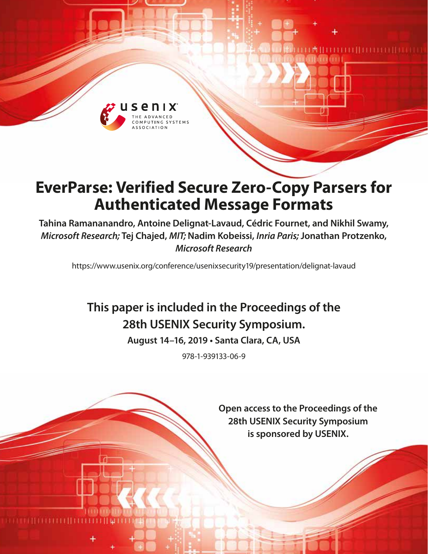

# **EverParse: Verified Secure Zero-Copy Parsers for Authenticated Message Formats**

**Tahina Ramananandro, Antoine Delignat-Lavaud, Cédric Fournet, and Nikhil Swamy,**  *Microsoft Research;* **Tej Chajed,** *MIT;* **Nadim Kobeissi,** *Inria Paris;* **Jonathan Protzenko,**  *Microsoft Research*

https://www.usenix.org/conference/usenixsecurity19/presentation/delignat-lavaud

# **This paper is included in the Proceedings of the 28th USENIX Security Symposium.**

**August 14–16, 2019 • Santa Clara, CA, USA**

978-1-939133-06-9

**Open access to the Proceedings of the 28th USENIX Security Symposium is sponsored by USENIX.**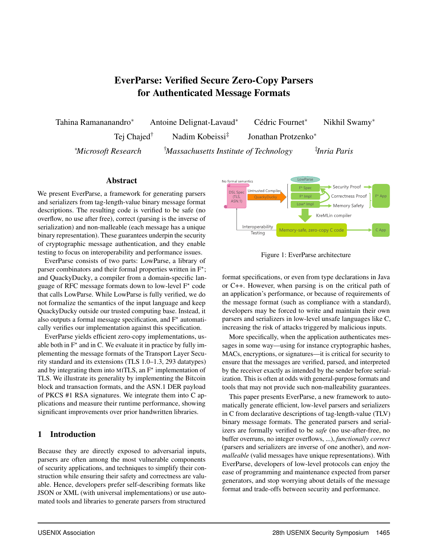# EverParse: Verified Secure Zero-Copy Parsers for Authenticated Message Formats

Tahina Ramananandro<sup>∗</sup> Antoine Delignat-Lavaud<sup>∗</sup> Cédric Fournet<sup>∗</sup> Nikhil Swamy<sup>∗</sup> Tej Chajed<sup>†</sup> Nadim Kobeissi<sup>‡</sup> Jonathan Protzenko<sup>∗</sup> <sup>∗</sup>*Microsoft Research* †*Massachusetts Institute of Technology* ‡ *Inria Paris*

#### Abstract

We present EverParse, a framework for generating parsers and serializers from tag-length-value binary message format descriptions. The resulting code is verified to be safe (no overflow, no use after free), correct (parsing is the inverse of serialization) and non-malleable (each message has a unique binary representation). These guarantees underpin the security of cryptographic message authentication, and they enable testing to focus on interoperability and performance issues.

EverParse consists of two parts: LowParse, a library of parser combinators and their formal properties written in  $F^*$ ; and QuackyDucky, a compiler from a domain-specific language of RFC message formats down to low-level  $F^*$  code that calls LowParse. While LowParse is fully verified, we do not formalize the semantics of the input language and keep QuackyDucky outside our trusted computing base. Instead, it also outputs a formal message specification, and  $F^*$  automatically verifies our implementation against this specification.

EverParse yields efficient zero-copy implementations, usable both in  $F^*$  and in C. We evaluate it in practice by fully implementing the message formats of the Transport Layer Security standard and its extensions (TLS 1.0–1.3, 293 datatypes) and by integrating them into MITLS, an  $F^*$  implementation of TLS. We illustrate its generality by implementing the Bitcoin block and transaction formats, and the ASN.1 DER payload of PKCS #1 RSA signatures. We integrate them into C applications and measure their runtime performance, showing significant improvements over prior handwritten libraries.

#### 1 Introduction

Because they are directly exposed to adversarial inputs, parsers are often among the most vulnerable components of security applications, and techniques to simplify their construction while ensuring their safety and correctness are valuable. Hence, developers prefer self-describing formats like JSON or XML (with universal implementations) or use automated tools and libraries to generate parsers from structured



<span id="page-1-0"></span>Figure 1: EverParse architecture

format specifications, or even from type declarations in Java or C++. However, when parsing is on the critical path of an application's performance, or because of requirements of the message format (such as compliance with a standard), developers may be forced to write and maintain their own parsers and serializers in low-level unsafe languages like C, increasing the risk of attacks triggered by malicious inputs.

More specifically, when the application authenticates messages in some way—using for instance cryptographic hashes, MACs, encryptions, or signatures—it is critical for security to ensure that the messages are verified, parsed, and interpreted by the receiver exactly as intended by the sender before serialization. This is often at odds with general-purpose formats and tools that may not provide such non-malleability guarantees.

This paper presents EverParse, a new framework to automatically generate efficient, low-level parsers and serializers in C from declarative descriptions of tag-length-value (TLV) binary message formats. The generated parsers and serializers are formally verified to be *safe* (no use-after-free, no buffer overruns, no integer overflows, ...), *functionally correct* (parsers and serializers are inverse of one another), and *nonmalleable* (valid messages have unique representations). With EverParse, developers of low-level protocols can enjoy the ease of programming and maintenance expected from parser generators, and stop worrying about details of the message format and trade-offs between security and performance.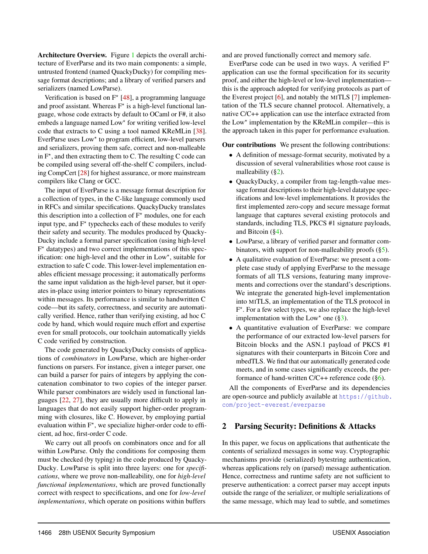Architecture Overview. Figure [1](#page-1-0) depicts the overall architecture of EverParse and its two main components: a simple, untrusted frontend (named QuackyDucky) for compiling message format descriptions; and a library of verified parsers and serializers (named LowParse).

Verification is based on  $F^*$  [\[48\]](#page-18-0), a programming language and proof assistant. Whereas  $F^*$  is a high-level functional language, whose code extracts by default to OCaml or F#, it also embeds a language named Low<sup>\*</sup> for writing verified low-level code that extracts to C using a tool named KReMLin [\[38\]](#page-18-1). EverParse uses Low\* to program efficient, low-level parsers and serializers, proving them safe, correct and non-malleable in  $F^*$ , and then extracting them to C. The resulting C code can be compiled using several off-the-shelf C compilers, including CompCert [\[28\]](#page-18-2) for highest assurance, or more mainstream compilers like Clang or GCC.

The input of EverParse is a message format description for a collection of types, in the C-like language commonly used in RFCs and similar specifications. QuackyDucky translates this description into a collection of  $F^*$  modules, one for each input type, and  $F^*$  typechecks each of these modules to verify their safety and security. The modules produced by Quacky-Ducky include a formal parser specification (using high-level F<sup>\*</sup> datatypes) and two correct implementations of this specification: one high-level and the other in Low<sup>\*</sup>, suitable for extraction to safe C code. This lower-level implementation enables efficient message processing; it automatically performs the same input validation as the high-level parser, but it operates in-place using interior pointers to binary representations within messages. Its performance is similar to handwritten C code—but its safety, correctness, and security are automatically verified. Hence, rather than verifying existing, ad hoc C code by hand, which would require much effort and expertise even for small protocols, our toolchain automatically yields C code verified by construction.

The code generated by QuackyDucky consists of applications of *combinators* in LowParse, which are higher-order functions on parsers. For instance, given a integer parser, one can build a parser for pairs of integers by applying the concatenation combinator to two copies of the integer parser. While parser combinators are widely used in functional languages [\[22,](#page-18-3) [27\]](#page-18-4), they are usually more difficult to apply in languages that do not easily support higher-order programming with closures, like C. However, by employing partial evaluation within  $F^*$ , we specialize higher-order code to efficient, ad hoc, first-order C code.

We carry out all proofs on combinators once and for all within LowParse. Only the conditions for composing them must be checked (by typing) in the code produced by Quacky-Ducky. LowParse is split into three layers: one for *specifications*, where we prove non-malleability, one for *high-level functional implementations*, which are proved functionally correct with respect to specifications, and one for *low-level implementations*, which operate on positions within buffers

and are proved functionally correct and memory safe.

EverParse code can be used in two ways. A verified  $F^*$ application can use the formal specification for its security proof, and either the high-level or low-level implementation this is the approach adopted for verifying protocols as part of the Everest project [\[6\]](#page-17-0), and notably the MITLS [\[7\]](#page-17-1) implementation of the TLS secure channel protocol. Alternatively, a native C/C++ application can use the interface extracted from the Low\* implementation by the KReMLin compiler—this is the approach taken in this paper for performance evaluation.

Our contributions We present the following contributions:

- A definition of message-format security, motivated by a discussion of several vulnerabilities whose root cause is malleability  $(\S_2)$ .
- QuackyDucky, a compiler from tag-length-value message format descriptions to their high-level datatype specifications and low-level implementations. It provides the first implemented zero-copy and secure message format language that captures several existing protocols and standards, including TLS, PKCS #1 signature payloads, and Bitcoin ([§4\)](#page-7-0).
- LowParse, a library of verified parser and formatter combinators, with support for non-malleability proofs  $(\S 5)$ .
- A qualitative evaluation of EverParse: we present a complete case study of applying EverParse to the message formats of all TLS versions, featuring many improvements and corrections over the standard's descriptions. We integrate the generated high-level implementation into MITLS, an implementation of the TLS protocol in F<sup>\*</sup>. For a few select types, we also replace the high-level implementation with the Low<sup>\*</sup> one ( $\S$ 3).
- A quantitative evaluation of EverParse: we compare the performance of our extracted low-level parsers for Bitcoin blocks and the ASN.1 payload of PKCS #1 signatures with their counterparts in Bitcoin Core and mbedTLS. We find that our automatically generated code meets, and in some cases significantly exceeds, the performance of hand-written  $C/C++$  reference code ([§6\)](#page-13-0).

All the components of EverParse and its dependencies are open-source and publicly available at [https://github.](https://github.com/project-everest/everparse) [com/project-everest/everparse](https://github.com/project-everest/everparse)

#### <span id="page-2-0"></span>2 Parsing Security: Definitions & Attacks

In this paper, we focus on applications that authenticate the contents of serialized messages in some way. Cryptographic mechanisms provide (serialized) bytestring authentication, whereas applications rely on (parsed) message authentication. Hence, correctness and runtime safety are not sufficient to preserve authentication: a correct parser may accept inputs outside the range of the serializer, or multiple serializations of the same message, which may lead to subtle, and sometimes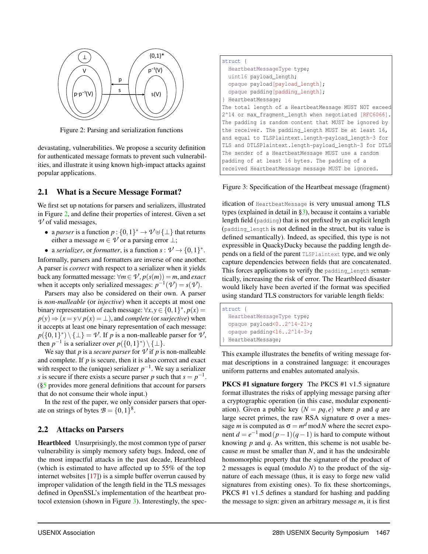

<span id="page-3-0"></span>Figure 2: Parsing and serialization functions

devastating, vulnerabilities. We propose a security definition for authenticated message formats to prevent such vulnerabilities, and illustrate it using known high-impact attacks against popular applications.

## <span id="page-3-2"></span>2.1 What is a Secure Message Format?

We first set up notations for parsers and serializers, illustrated in Figure [2,](#page-3-0) and define their properties of interest. Given a set  $\nu$  of valid messages,

- a *parser* is a function  $p: \{0,1\}^* \to \mathcal{V} \cup \{\perp\}$  that returns either a message  $m \in V$  or a parsing error  $\perp$ ;
- a *serializer*, or *formatter*, is a function  $s: \mathcal{V} \to \{0,1\}^*$ .

Informally, parsers and formatters are inverse of one another. A parser is *correct* with respect to a serializer when it yields back any formatted message:  $\forall m \in \mathcal{V}, p(s(m)) = m$ , and *exact* when it accepts only serialized messages:  $p^{-1}(\mathcal{V}) = s(\mathcal{V})$ .

Parsers may also be considered on their own. A parser is *non-malleable* (or *injective*) when it accepts at most one binary representation of each message:  $\forall x, y \in \{0, 1\}^*, p(x) =$  $p(y) \Rightarrow (x = y \lor p(x) = \bot)$ , and *complete* (or *surjective*) when it accepts at least one binary representation of each message:  $p({0,1}^*) \setminus {\perp} = \mathcal{V}$ . If *p* is a non-malleable parser for  $\mathcal{V}$ , then  $p^{-1}$  is a serializer over  $p({0,1}^*) \setminus {\{\perp\}}$ .

We say that *p* is a *secure parser* for  $\nu$  if *p* is non-malleable and complete. If *p* is secure, then it is also correct and exact with respect to the (unique) serializer  $p^{-1}$ . We say a serializer *s* is secure if there exists a secure parser *p* such that  $s = p^{-1}$ . ([§5](#page-10-0) provides more general definitions that account for parsers that do not consume their whole input.)

In the rest of the paper, we only consider parsers that operate on strings of bytes  $\mathcal{B} = \{0, 1\}^8$ .

#### <span id="page-3-3"></span>2.2 Attacks on Parsers

Heartbleed Unsurprisingly, the most common type of parser vulnerability is simply memory safety bugs. Indeed, one of the most impactful attacks in the past decade, Heartbleed (which is estimated to have affected up to 55% of the top internet websites [\[17\]](#page-18-5)) is a simple buffer overrun caused by improper validation of the length field in the TLS messages defined in OpenSSL's implementation of the heartbeat protocol extension (shown in Figure [3\)](#page-3-1). Interestingly, the spec-

| struct {                                               |
|--------------------------------------------------------|
| HeartbeatMessageType type;                             |
| uint16 payload_length;                                 |
| opaque payload [payload_length];                       |
| opaque padding[padding_length];                        |
| } HeartbeatMessage;                                    |
| The total length of a HeartbeatMessage MUST NOT exceed |
| 2^14 or max_fragment_length when negotiated [RFC6066]. |
| The padding is random content that MUST be ignored by  |
| the receiver. The padding length MUST be at least 16,  |
| and equal to TLSPlaintext.length-payload_length-3 for  |
| TLS and DTLSPlaintext.length-payload_length-3 for DTLS |
| The sender of a HeartbeatMessage MUST use a random     |
| padding of at least 16 bytes. The padding of a         |
| received HeartbeatMessage message MUST be ignored.     |
|                                                        |

<span id="page-3-1"></span>Figure 3: Specification of the Heartbeat message (fragment)

ification of HeartbeatMessage is very unusual among TLS types (explained in detail in [§3\)](#page-4-0), because it contains a variable length field (padding) that is not prefixed by an explicit length (padding\_length is not defined in the struct, but its value is defined semantically). Indeed, as specified, this type is not expressible in QuackyDucky because the padding length depends on a field of the parent TLSPlaintext type, and we only capture dependencies between fields that are concatenated. This forces applications to verify the padding length semantically, increasing the risk of error. The Heartbleed disaster would likely have been averted if the format was specified using standard TLS constructors for variable length fields:

struct { HeartbeatMessageType type; opaque payload<0..2^14-21>; opaque padding<16..2^14-3>; HeartbeatMessage;

This example illustrates the benefits of writing message format descriptions in a constrained language: it encourages uniform patterns and enables automated analysis.

PKCS #1 signature forgery The PKCS #1 v1.5 signature format illustrates the risks of applying message parsing after a cryptographic operation (in this case, modular exponentiation). Given a public key  $(N = pq, e)$  where p and q are large secret primes, the raw RSA signature  $\sigma$  over a message *m* is computed as  $\sigma = m^d \text{ mod } N$  where the secret exponent  $d = e^{-1} \mod (p-1)(q-1)$  is hard to compute without knowing *p* and *q*. As written, this scheme is not usable because *m* must be smaller than *N*, and it has the undesirable homomorphic property that the signature of the product of 2 messages is equal (modulo *N*) to the product of the signature of each message (thus, it is easy to forge new valid signatures from existing ones). To fix these shortcomings, PKCS #1 v1.5 defines a standard for hashing and padding the message to sign: given an arbitrary message *m*, it is first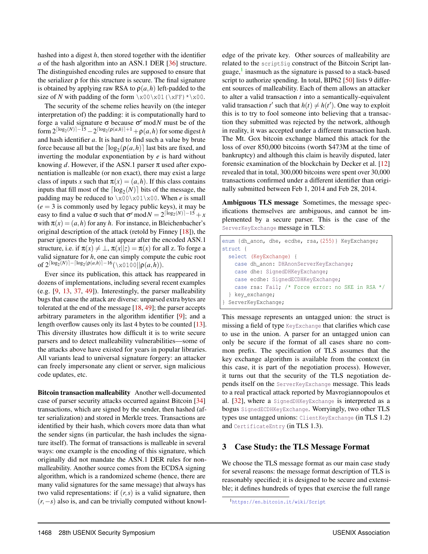hashed into a digest *h*, then stored together with the identifier *a* of the hash algorithm into an ASN.1 DER [\[36\]](#page-18-6) structure. The distinguished encoding rules are supposed to ensure that the serializer  $\rho$  for this structure is secure. The final signature is obtained by applying raw RSA to  $\rho(a,h)$  left-padded to the size of *N* with padding of the form  $x00 \times 01 (\xleftarrow{xFF}) * \xleftarrow{0}$ .

The security of the scheme relies heavily on (the integer interpretation of) the padding: it is computationally hard to forge a valid signature σ because σ *<sup>e</sup>* mod*N* must be of the form  $2^{\lceil \log_2(N) \rceil - 15} - 2^{\lceil \log_2(\rho(a,h)) + 1} + \rho(a,h)$  for some digest *h* and hash identifier *a*. It is hard to find such a value by brute force because all but the  $\lceil \log_2(\rho(a, h)) \rceil$  last bits are fixed, and inverting the modular exponentiation by *e* is hard without knowing *d*. However, if the ASN.1 parser  $\pi$  used after exponentiation is malleable (or non exact), there may exist a large class of inputs *x* such that  $\pi(x) = (a, h)$ . If this class contains inputs that fill most of the  $\lceil \log_2(N) \rceil$  bits of the message, the padding may be reduced to  $x00 \times 01 \times 00$ . When *e* is small  $(e = 3$  is commonly used by legacy public keys), it may be easy to find a value  $\sigma$  such that  $\sigma^e \text{ mod } N = 2^{\lceil \log_2(N) \rceil - 15} + x$ with  $\pi(x) = (a, h)$  for any *h*. For instance, in Bleichenbacher's original description of the attack (retold by Finney [\[18\]](#page-18-7)), the parser ignores the bytes that appear after the encoded ASN.1 structure, i.e. if  $\pi(x) \neq \bot$ ,  $\pi(x||z) = \pi(x)$  for all z. To forge a valid signature for *h*, one can simply compute the cubic root  $\inf 2^{\lceil \log_2(N) \rceil - \lceil \log_2(\rho(a, h) \rceil - 16} (\setminus x0100||\rho(a, h)).$ 

Ever since its publication, this attack has reappeared in dozens of implementations, including several recent examples (e.g. [\[9,](#page-17-2) [13,](#page-17-3) [37,](#page-18-8) [49\]](#page-18-9)). Interestingly, the parser malleability bugs that cause the attack are diverse: unparsed extra bytes are tolerated at the end of the message [\[18,](#page-18-7) [49\]](#page-18-9); the parser accepts arbitrary parameters in the algorithm identifier [\[9\]](#page-17-2); and a length overflow causes only its last 4 bytes to be counted [\[13\]](#page-17-3). This diversity illustrates how difficult it is to write secure parsers and to detect malleability vulnerabilities—some of the attacks above have existed for years in popular libraries. All variants lead to universal signature forgery: an attacker can freely impersonate any client or server, sign malicious code updates, etc.

Bitcoin transaction malleability Another well-documented case of parser security attacks occurred against Bitcoin [\[34\]](#page-18-10) transactions, which are signed by the sender, then hashed (after serialization) and stored in Merkle trees. Transactions are identified by their hash, which covers more data than what the sender signs (in particular, the hash includes the signature itself). The format of transactions is malleable in several ways: one example is the encoding of this signature, which originally did not mandate the ASN.1 DER rules for nonmalleability. Another source comes from the ECDSA signing algorithm, which is a randomized scheme (hence, there are many valid signatures for the same message) that always has two valid representations: if  $(r, s)$  is a valid signature, then (*r*,−*s*) also is, and can be trivially computed without knowledge of the private key. Other sources of malleability are related to the scriptSig construct of the Bitcoin Script lan-guage,<sup>[1](#page-4-1)</sup> inasmuch as the signature is passed to a stack-based script to authorize spending. In total, BIP62 [\[50\]](#page-18-11) lists 9 different sources of malleability. Each of them allows an attacker to alter a valid transaction *t* into a semantically-equivalent valid transaction  $t'$  such that  $h(t) \neq h(t')$ . One way to exploit this is to try to fool someone into believing that a transaction they submitted was rejected by the network, although in reality, it was accepted under a different transaction hash. The Mt. Gox bitcoin exchange blamed this attack for the loss of over 850,000 bitcoins (worth \$473M at the time of bankruptcy) and although this claim is heavily disputed, later forensic examination of the blockchain by Decker et al. [\[12\]](#page-17-4) revealed that in total, 300,000 bitcoins were spent over 30,000 transactions confirmed under a different identifier than originally submitted between Feb 1, 2014 and Feb 28, 2014.

Ambiguous TLS message Sometimes, the message specifications themselves are ambiguous, and cannot be implemented by a secure parser. This is the case of the ServerKeyExchange message in TLS:

```
enum {dh_anon, dhe, ecdhe, rsa,(255)} KeyExchange;
struct {
  select (KeyExchange) {
    case dh_anon: DHAnonServerKeyExchange;
    case dhe: SignedDHKeyExchange;
    case ecdhe: SignedECDHKeyExchange;
    case rsa: Fail; /* Force error: no SKE in RSA */
  } key_exchange;
 } ServerKeyExchange;
```
This message represents an untagged union: the struct is missing a field of type KeyExchange that clarifies which case to use in the union. A parser for an untagged union can only be secure if the format of all cases share no common prefix. The specification of TLS assumes that the key exchange algorithm is available from the context (in this case, it is part of the negotiation process). However, it turns out that the security of the TLS negotiation depends itself on the ServerKeyExchange message. This leads to a real practical attack reported by Mavrogiannopoulos et al. [\[32\]](#page-18-12), where a SignedDHKeyExchange is interpreted as a bogus SignedECDHKeyExchange. Worryingly, two other TLS types use untagged unions: ClientKeyExchange (in TLS 1.2) and CertificateEntry (in TLS 1.3).

#### <span id="page-4-0"></span>3 Case Study: the TLS Message Format

We choose the TLS message format as our main case study for several reasons: the message format description of TLS is reasonably specified; it is designed to be secure and extensible; it defines hundreds of types that exercise the full range

<span id="page-4-1"></span><sup>1</sup><https://en.bitcoin.it/wiki/Script>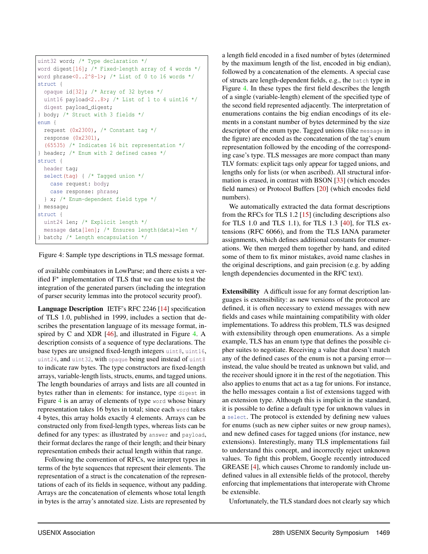```
uint32 word; /* Type declaration */
word digest[16]; /* Fixed-length array of 4 words */
word phrase<0..2^8-1>; /* List of 0 to 16 words */
struct {
 opaque id[32]; /* Array of 32 bytes */
 uint16 payload<2..8>; /* List of 1 to 4 uint16 */digest payload_digest;
} body; /* Struct with 3 fields */
enum {
  request (0x2300), /* Constant tag */
 response (0x2301),
  (65535) /* Indicates 16 bit representation */
} header; /* Enum with 2 defined cases */
struct {
 header tag;
 select(tag) { /* Tagged union */
   case request: body;
   case response: phrase;
  } x; /* Enum-dependent field type */
} message;
struct {
 uint24 len; /* Explicit length */
 message data[len]; /* Ensures length(data)=len */
} batch; /* Length encapsulation */
```
<span id="page-5-0"></span>Figure 4: Sample type descriptions in TLS message format.

of available combinators in LowParse; and there exists a verified  $F^*$  implementation of TLS that we can use to test the integration of the generated parsers (including the integration of parser security lemmas into the protocol security proof).

Language Description IETF's RFC 2246 [\[14\]](#page-17-5) specification of TLS 1.0, published in 1999, includes a section that describes the presentation language of its message format, in-spired by C and XDR [\[46\]](#page-18-13), and illustrated in Figure [4.](#page-5-0) A description consists of a sequence of type declarations. The base types are unsigned fixed-length integers uint8, uint16, uint24, and uint32, with opaque being used instead of uint8 to indicate raw bytes. The type constructors are fixed-length arrays, variable-length lists, structs, enums, and tagged unions. The length boundaries of arrays and lists are all counted in bytes rather than in elements: for instance, type digest in Figure [4](#page-5-0) is an array of elements of type word whose binary representation takes 16 bytes in total; since each word takes 4 bytes, this array holds exactly 4 elements. Arrays can be constructed only from fixed-length types, whereas lists can be defined for any types: as illustrated by answer and payload, their format declares the range of their length; and their binary representation embeds their actual length within that range.

Following the convention of RFCs, we interpret types in terms of the byte sequences that represent their elements. The representation of a struct is the concatenation of the representations of each of its fields in sequence, without any padding. Arrays are the concatenation of elements whose total length in bytes is the array's annotated size. Lists are represented by

a length field encoded in a fixed number of bytes (determined by the maximum length of the list, encoded in big endian), followed by a concatenation of the elements. A special case of structs are length-dependent fields, e.g., the batch type in Figure [4.](#page-5-0) In these types the first field describes the length of a single (variable-length) element of the specified type of the second field represented adjacently. The interpretation of enumerations contains the big endian encodings of its elements in a constant number of bytes determined by the size descriptor of the enum type. Tagged unions (like message in the figure) are encoded as the concatenation of the tag's enum representation followed by the encoding of the corresponding case's type. TLS messages are more compact than many TLV formats: explicit tags only appear for tagged unions, and lengths only for lists (or when ascribed). All structural information is erased, in contrast with BSON [\[33\]](#page-18-14) (which encodes field names) or Protocol Buffers [\[20\]](#page-18-15) (which encodes field numbers).

We automatically extracted the data format descriptions from the RFCs for TLS 1.2 [\[15\]](#page-17-6) (including descriptions also for TLS 1.0 and TLS 1.1), for TLS 1.3 [\[40\]](#page-18-16), for TLS extensions (RFC 6066), and from the TLS IANA parameter assignments, which defines additional constants for enumerations. We then merged them together by hand, and edited some of them to fix minor mistakes, avoid name clashes in the original descriptions, and gain precision (e.g. by adding length dependencies documented in the RFC text).

Extensibility A difficult issue for any format description languages is extensibility: as new versions of the protocol are defined, it is often necessary to extend messages with new fields and cases while maintaining compatibility with older implementations. To address this problem, TLS was designed with extensibility through open enumerations. As a simple example, TLS has an enum type that defines the possible cipher suites to negotiate. Receiving a value that doesn't match any of the defined cases of the enum is not a parsing error instead, the value should be treated as unknown but valid, and the receiver should ignore it in the rest of the negotiation. This also applies to enums that act as a tag for unions. For instance, the hello messages contain a list of extensions tagged with an extension type. Although this is implicit in the standard, it is possible to define a default type for unknown values in a select. The protocol is extended by defining new values for enums (such as new cipher suites or new group names), and new defined cases for tagged unions (for instance, new extensions). Interestingly, many TLS implementations fail to understand this concept, and incorrectly reject unknown values. To fight this problem, Google recently introduced GREASE [\[4\]](#page-17-7), which causes Chrome to randomly include undefined values in all extensible fields of the protocol, thereby enforcing that implementations that interoperate with Chrome be extensible.

Unfortunately, the TLS standard does not clearly say which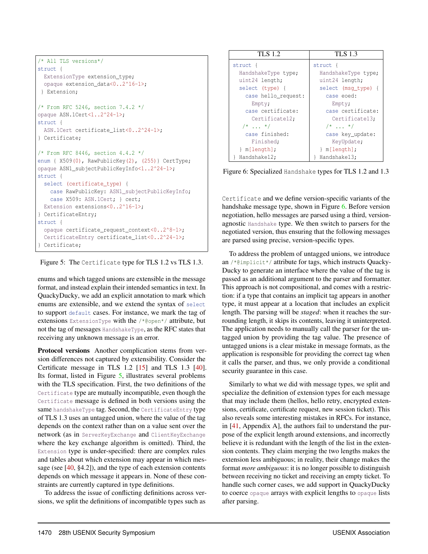```
/* All TLS versions*/
struct {
 ExtensionType extension_type;
  opaque extension_data<0..2^16-1>;
 } Extension;
/* From RFC 5246, section 7.4.2 */
opaque ASN.1Cert<1..2^24-1>;
struct {
 ASN.1Cert certificate_list<0..2^24-1>;
} Certificate;
/* From RFC 8446, section 4.4.2 */
enum { X509(0), RawPublicKey(2), (255)} CertType;
opaque ASN1_subjectPublicKeyInfo<1..2^24-1>;
struct {
 select (certificate_type) {
   case RawPublicKey: ASN1_subjectPublicKeyInfo;
    case X509: ASN.1Cert; } cert;
 Extension extensions<0..2^16-1>;
} CertificateEntry;
struct {
 opaque certificate_request_context<0..2^8-1>;
 CertificateEntry certificate_list<0..2^24-1>;
} Certificate;
```
<span id="page-6-0"></span>Figure 5: The Certificate type for TLS 1.2 vs TLS 1.3.

enums and which tagged unions are extensible in the message format, and instead explain their intended semantics in text. In QuackyDucky, we add an explicit annotation to mark which enums are extensible, and we extend the syntax of select to support default cases. For instance, we mark the tag of extensions ExtensionType with the /\*@open\*/ attribute, but not the tag of messages HandshakeType, as the RFC states that receiving any unknown message is an error.

Protocol versions Another complication stems from version differences not captured by extensibility. Consider the Certificate message in TLS 1.2 [\[15\]](#page-17-6) and TLS 1.3 [\[40\]](#page-18-16). Its format, listed in Figure [5,](#page-6-0) illustrates several problems with the TLS specification. First, the two definitions of the Certificate type are mutually incompatible, even though the Certificate message is defined in both versions using the same handshakeType tag. Second, the CertificateEntry type of TLS 1.3 uses an untagged union, where the value of the tag depends on the context rather than on a value sent over the network (as in ServerKeyExchange and ClientKeyExchange where the key exchange algorithm is omitted). Third, the Extension type is under-specified: there are complex rules and tables about which extension may appear in which message (see [\[40,](#page-18-16) §4.2]), and the type of each extension contents depends on which message it appears in. None of these constraints are currently captured in type definitions.

To address the issue of conflicting definitions across versions, we split the definitions of incompatible types such as

| <b>TLS 1.2</b>      | <b>TLS 1.3</b>      |  |
|---------------------|---------------------|--|
| struct {            | struct {            |  |
| HandshakeType type; | HandshakeType type; |  |
| uint24 length;      | uint24 length;      |  |
| select (type) {     | select (msq_type) { |  |
| case hello_request: | case eoed:          |  |
| Empty;              | Empty;              |  |
| case certificate:   | case certificate:   |  |
| Certificate12;      | Certificate13;      |  |
| $/* \dots */$       | $/\star$ $\star$ /  |  |
| case finished:      | case key_update:    |  |
| Finished;           | KeyUpdate;          |  |
| m[length];          | m[length];          |  |
| Handshake12;        | Handshake13;        |  |

<span id="page-6-1"></span>Figure 6: Specialized Handshake types for TLS 1.2 and 1.3

Certificate and we define version-specific variants of the handshake message type, shown in Figure [6.](#page-6-1) Before version negotiation, hello messages are parsed using a third, versionagnostic Handshake type. We then switch to parsers for the negotiated version, thus ensuring that the following messages are parsed using precise, version-specific types.

To address the problem of untagged unions, we introduce an /\*@implicit\*/ attribute for tags, which instructs Quacky-Ducky to generate an interface where the value of the tag is passed as an additional argument to the parser and formatter. This approach is not compositional, and comes with a restriction: if a type that contains an implicit tag appears in another type, it must appear at a location that includes an explicit length. The parsing will be *staged*: when it reaches the surrounding length, it skips its contents, leaving it uninterpreted. The application needs to manually call the parser for the untagged union by providing the tag value. The presence of untagged unions is a clear mistake in message formats, as the application is responsible for providing the correct tag when it calls the parser, and thus, we only provide a conditional security guarantee in this case.

Similarly to what we did with message types, we split and specialize the definition of extension types for each message that may include them (hellos, hello retry, encrypted extensions, certificate, certificate request, new session ticket). This also reveals some interesting mistakes in RFCs. For instance, in [\[41,](#page-18-17) Appendix A], the authors fail to understand the purpose of the explicit length around extensions, and incorrectly believe it is redundant with the length of the list in the extension contents. They claim merging the two lengths makes the extension less ambiguous; in reality, their change makes the format *more ambiguous*: it is no longer possible to distinguish between receiving no ticket and receiving an empty ticket. To handle such corner cases, we add support in QuackyDucky to coerce opaque arrays with explicit lengths to opaque lists after parsing.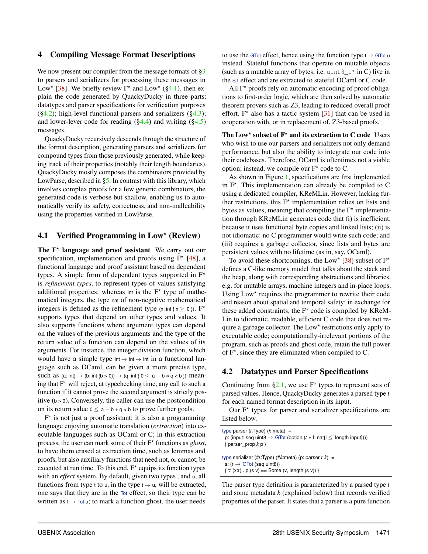#### <span id="page-7-0"></span>4 Compiling Message Format Descriptions

We now present our compiler from the message formats of  $\S3$ to parsers and serializers for processing these messages in Low<sup>\*</sup> [\[38\]](#page-18-1). We briefly review  $F^*$  and Low<sup>\*</sup> ([§4.1\)](#page-7-1), then explain the code generated by QuackyDucky in three parts: datatypes and parser specifications for verification purposes  $(\S4.2)$ ; high-level functional parsers and serializers  $(\S4.3)$ ; and lower-lever code for reading  $(\S4.4)$  and writing  $(\S4.5)$ messages.

QuackyDucky recursively descends through the structure of the format description, generating parsers and serializers for compound types from those previously generated, while keeping track of their properties (notably their length boundaries). QuackyDucky mostly composes the combinators provided by LowParse, described in [§5.](#page-10-0) In contrast with this library, which involves complex proofs for a few generic combinators, the generated code is verbose but shallow, enabling us to automatically verify its safety, correctness, and non-malleability using the properties verified in LowParse.

# <span id="page-7-1"></span>4.1 Verified Programming in  $Low^*$  (Review)

The  $F^*$  language and proof assistant We carry out our specification, implementation and proofs using  $F^*$  [\[48\]](#page-18-0), a functional language and proof assistant based on dependent types. A simple form of dependent types supported in  $F^*$ is *refinement types*, to represent types of values satisfying additional properties: whereas int is the  $F^*$  type of mathematical integers, the type nat of non-negative mathematical integers is defined as the refinement type (x: int { $x \ge 0$  }). F<sup>\*</sup> supports types that depend on other types and values. It also supports functions where argument types can depend on the values of the previous arguments and the type of the return value of a function can depend on the values of its arguments. For instance, the integer division function, which would have a simple type  $int \rightarrow int \rightarrow int$  in a functional language such as OCaml, can be given a more precise type, such as  $(a: int) \rightarrow (b: int {b > 0}) \rightarrow (q: int { 0 \le a - b * q < b } )$  meaning that  $F^*$  will reject, at typechecking time, any call to such a function if it cannot prove the second argument is strictly positive  $(b > 0)$ . Conversely, the caller can use the postcondition on its return value  $0 \le a - b * q < b$  to prove further goals.

F<sup>\*</sup> is not just a proof assistant: it is also a programming language enjoying automatic translation (*extraction*) into executable languages such as OCaml or C; in this extraction process, the user can mark some of their F? functions as *ghost*, to have them erased at extraction time, such as lemmas and proofs, but also auxiliary functions that need not, or cannot, be executed at run time. To this end,  $F^*$  equips its function types with an *effect* system. By default, given two types t and u, all functions from type t to u, in the type  $t \rightarrow u$ , will be extracted, one says that they are in the Tot effect, so their type can be written as  $t \to \text{Tot } u$ ; to mark a function ghost, the user needs

to use the GTot effect, hence using the function type  $t \rightarrow G$ Tot u instead. Stateful functions that operate on mutable objects (such as a mutable array of bytes, i.e. uint  $8 \tarrow \tanh C$ ) live in the ST effect and are extracted to stateful OCaml or C code.

All  $F^*$  proofs rely on automatic encoding of proof obligations to first-order logic, which are then solved by automatic theorem provers such as Z3, leading to reduced overall proof effort.  $F^*$  also has a tactic system [\[31\]](#page-18-18) that can be used in cooperation with, or in replacement of, Z3-based proofs.

The Low<sup>\*</sup> subset of  $F^*$  and its extraction to C code Users who wish to use our parsers and serializers not only demand performance, but also the ability to integrate our code into their codebases. Therefore, OCaml is oftentimes not a viable option; instead, we compile our  $F^*$  code to C.

As shown in Figure [1,](#page-1-0) specifications are first implemented in  $F^*$ . This implementation can already be compiled to  $C$ using a dedicated compiler, KReMLin. However, lacking further restrictions, this  $F^*$  implementation relies on lists and bytes as values, meaning that compiling the  $F^*$  implementation through KReMLin generates code that (i) is inefficient, because it uses functional byte copies and linked lists; (ii) is not idiomatic: no C programmer would write such code; and (iii) requires a garbage collector, since lists and bytes are persistent values with no lifetime (as in, say, OCaml).

To avoid these shortcomings, the Low<sup>\*</sup> [\[38\]](#page-18-1) subset of  $F^*$ defines a C-like memory model that talks about the stack and the heap, along with corresponding abstractions and libraries, e.g. for mutable arrays, machine integers and in-place loops. Using Low\* requires the programmer to rewrite their code and reason about spatial and temporal safety; in exchange for these added constraints, the  $F^*$  code is compiled by KReM-Lin to idiomatic, readable, efficient C code that does not require a garbage collector. The Low\* restrictions only apply to executable code; computationally-irrelevant portions of the program, such as proofs and ghost code, retain the full power of  $F^*$ , since they are eliminated when compiled to C.

#### <span id="page-7-2"></span>4.2 Datatypes and Parser Specifications

Continuing from  $\S 2.1$ , we use  $F^*$  types to represent sets of parsed values. Hence, QuackyDucky generates a parsed type *t* for each named format description in its input.

Our  $F^*$  types for parser and serializer specifications are listed below.

```
type parser (t:Type) (k:meta) =
 p: (input: seq uint8 \rightarrow GTot (option (t * I: nat{I \leq \text{length input}})))
 { parser_prop k p }
type serializer (#t:Type) (#k:meta) (p: parser t k) =
 s: (t → GTot (seq uint8))
 \{\forall (x:t) \cdot p (s v) == Some (v, length (s v)) }
```
The parser type definition is parameterized by a parsed type *t* and some metadata *k* (explained below) that records verified properties of the parser. It states that a parser is a pure function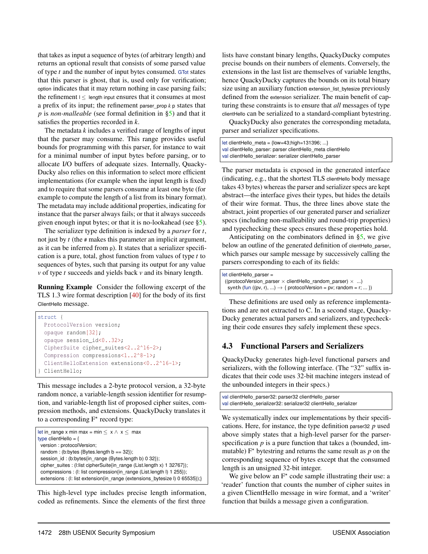that takes as input a sequence of bytes (of arbitrary length) and returns an optional result that consists of some parsed value of type *t* and the number of input bytes consumed. GTot states that this parser is ghost, that is, used only for verification; option indicates that it may return nothing in case parsing fails; the refinement  $\vert \langle \vert$  length input ensures that it consumes at most a prefix of its input; the refinement parser prop  $k$  p states that *p* is *non-malleable* (see formal definition in [§5\)](#page-11-0) and that it satisfies the properties recorded in *k*.

The metadata *k* includes a verified range of lengths of input that the parser may consume. This range provides useful bounds for programming with this parser, for instance to wait for a minimal number of input bytes before parsing, or to allocate I/O buffers of adequate sizes. Internally, Quacky-Ducky also relies on this information to select more efficient implementations (for example when the input length is fixed) and to require that some parsers consume at least one byte (for example to compute the length of a list from its binary format). The metadata may include additional properties, indicating for instance that the parser always fails; or that it always succeeds given enough input bytes; or that it is no-lookahead (see [§5\)](#page-11-0).

The serializer type definition is indexed by a *parser* for *t*, not just by *t* (the # makes this parameter an implicit argument, as it can be inferred from p). It states that a serializer specification is a pure, total, ghost function from values of type *t* to sequences of bytes, such that parsing its output for any value *v* of type *t* succeeds and yields back *v* and its binary length.

Running Example Consider the following excerpt of the TLS 1.3 wire format description [\[40\]](#page-18-16) for the body of its first ClientHello message.

```
struct {
 ProtocolVersion version;
 opaque random[32];
 opaque session_id<0..32>;
 CipherSuite cipher_suites<2..2^16-2>;
 Compression compressions<1..2^8-1>;
 ClientHelloExtension extensions<0..2^16-1>;
 ClientHello;
```
This message includes a 2-byte protocol version, a 32-byte random nonce, a variable-length session identifier for resumption, and variable-length list of proposed cipher suites, compression methods, and extensions. QuackyDucky translates it to a corresponding  $F^*$  record type:

| let in range x min max = min $\leq x \land x \leq$ max                       |
|------------------------------------------------------------------------------|
| type clientHello = $\{$                                                      |
| version: protocolVersion;                                                    |
| random: (b:bytes {Bytes.length $b == 32$ });                                 |
| session_id: (b:bytes{in_range (Bytes.length b) 0 32});                       |
| cipher suites : (I:list cipherSuite{in range (List.length x) 1 32767});      |
| compressions : (I: list compression in range (List length I) 1 255);         |
| extensions : (I: list extension{in range (extensions bytesize I) 0 65535});} |
|                                                                              |

This high-level type includes precise length information, coded as refinements. Since the elements of the first three

lists have constant binary lengths, QuackyDucky computes precise bounds on their numbers of elements. Conversely, the extensions in the last list are themselves of variable lengths, hence QuackyDucky captures the bounds on its total binary size using an auxiliary function extension\_list\_bytesize previously defined from the extension serializer. The main benefit of capturing these constraints is to ensure that *all* messages of type clientHello can be serialized to a standard-compliant bytestring.

QuackyDucky also generates the corresponding metadata, parser and serializer specifications.

```
let clientHello_meta = {low=43;high=131396; ...}
val clientHello_parser: parser clientHello_meta clientHello
val clientHello_serializer: serializer clientHello_parser
```
The parser metadata is exposed in the generated interface (indicating, e.g., that the shortest TLS clientHello body message takes 43 bytes) whereas the parser and serializer specs are kept abstract—the interface gives their types, but hides the details of their wire format. Thus, the three lines above state the abstract, joint properties of our generated parser and serializer specs (including non-malleability and round-trip properties) and typechecking these specs ensures these properties hold.

Anticipating on the combinators defined in  $\S$ 5, we give below an outline of the generated definition of clientHello\_parser, which parses our sample message by successively calling the parsers corresponding to each of its fields:

| $let clientHello parser =$                                                   |
|------------------------------------------------------------------------------|
| ((protocolVersion parser $\times$ clientHello random parser) $\times$ )      |
| synth (fun ((pv, r), ) $\rightarrow$ { protocolVersion = pv; random = r;  }) |

These definitions are used only as reference implementations and are not extracted to C. In a second stage, Quacky-Ducky generates actual parsers and serializers, and typechecking their code ensures they safely implement these specs.

# <span id="page-8-0"></span>4.3 Functional Parsers and Serializers

QuackyDucky generates high-level functional parsers and serializers, with the following interface. (The "32" suffix indicates that their code uses 32-bit machine integers instead of the unbounded integers in their specs.)

val clientHello\_parser32: parser32 clientHello\_parser val clientHello\_serializer32: serializer32 clientHello\_serializer

We systematically index our implementations by their specifications. Here, for instance, the type definition parser32 *p* used above simply states that a high-level parser for the parserspecification *p* is a pure function that takes a (bounded, immutable)  $F^*$  bytestring and returns the same result as  $p$  on the corresponding sequence of bytes except that the consumed length is an unsigned 32-bit integer.

We give below an  $F^*$  code sample illustrating their use: a 'reader' function that counts the number of cipher suites in a given ClientHello message in wire format, and a 'writer' function that builds a message given a configuration.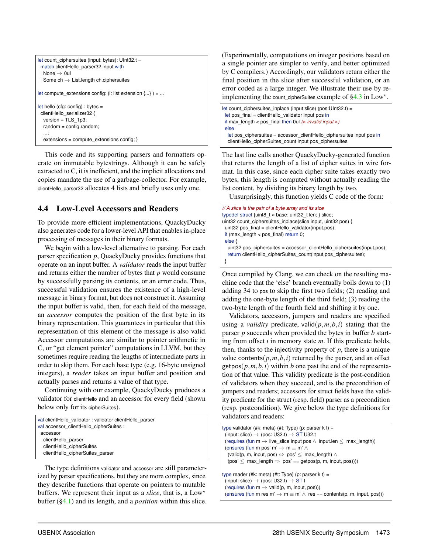```
let count ciphersuites (input: bytes): UInt32.t =
 match clientHello_parser32 input with
 | None \rightarrow 0ul
 | Some ch \rightarrow List.length ch.ciphersuites
let compute_extensions config: (l: list extension {...} ) = ...
let hello (cfg: config) : bytes =
 clientHello_serializer32 {
  version = TLS_1p3;
  random = config.random;
   ...;
  extensions = compute_extensions config; }
```
This code and its supporting parsers and formatters operate on immutable bytestrings. Although it can be safely extracted to C, it is inefficient, and the implicit allocations and copies mandate the use of a garbage-collector. For example, clientHello\_parser32 allocates 4 lists and briefly uses only one.

## <span id="page-9-0"></span>4.4 Low-Level Accessors and Readers

To provide more efficient implementations, QuackyDucky also generates code for a lower-level API that enables in-place processing of messages in their binary formats.

We begin with a low-level alternative to parsing. For each parser specification *p*, QuackyDucky provides functions that operate on an input buffer. A *validator* reads the input buffer and returns either the number of bytes that *p* would consume by successfully parsing its contents, or an error code. Thus, successful validation ensures the existence of a high-level message in binary format, but does not construct it. Assuming the input buffer is valid, then, for each field of the message, an *accessor* computes the position of the first byte in its binary representation. This guarantees in particular that this representation of this element of the message is also valid. Accessor computations are similar to pointer arithmetic in C, or "get element pointer" computations in LLVM, but they sometimes require reading the lengths of intermediate parts in order to skip them. For each base type (e.g. 16-byte unsigned integers), a *reader* takes an input buffer and position and actually parses and returns a value of that type.

Continuing with our example, QuackyDucky produces a validator for clientHello and an accessor for every field (shown below only for its cipherSuites).

```
val clientHello_validator : validator clientHello_parser
val accessor_clientHello_cipherSuites :
 accessor
  clientHello_parser
  clientHello_cipherSuites
  clientHello_cipherSuites_parser
```
The type definitions validator and accessor are still parameterized by parser specifications, but they are more complex, since they describe functions that operate on pointers to mutable buffers. We represent their input as a *slice*, that is, a  $Low<sup>*</sup>$ buffer ([§4.1\)](#page-7-1) and its length, and a *position* within this slice.

(Experimentally, computations on integer positions based on a single pointer are simpler to verify, and better optimized by C compilers.) Accordingly, our validators return either the final position in the slice after successful validation, or an error coded as a large integer. We illustrate their use by reimplementing the count\_cipherSuites example of  $§4.3$  in Low\*.

```
let count_ciphersuites_inplace (input:slice) (pos:UInt32.t) =
 let pos_final = clientHello_validator input pos in
 if max_length < pos_final then 0ul (∗ invalid input ∗)
 else
  let pos_ciphersuites = accessor_clientHello_ciphersuites input pos in
  clientHello_cipherSuites_count input pos_ciphersuites
```
The last line calls another QuackyDucky-generated function that returns the length of a list of cipher suites in wire format. In this case, since each cipher suite takes exactly two bytes, this length is computed without actually reading the list content, by dividing its binary length by two.

Unsurprisingly, this function yields C code of the form:

```
// A slice is the pair of a byte array and its size
typedef struct {uint8_t ∗ base; uint32_t len; } slice;
uint32 count_ciphersuites_inplace(slice input, uint32 pos) {
uint32 pos_final = clientHello_validator(input,pos);
 if (max_length < pos_final) return 0;
 else {
  uint32 pos_ciphersuites = accessor_clientHello_ciphersuites(input,pos);
  return clientHello_cipherSuites_count(input,pos_ciphersuites);
 }
```
Once compiled by Clang, we can check on the resulting machine code that the 'else' branch eventually boils down to (1) adding 34 to pos to skip the first two fields; (2) reading and adding the one-byte length of the third field; (3) reading the two-byte length of the fourth field and shifting it by one.

Validators, accessors, jumpers and readers are specified using a *validity* predicate, valid $(p, m, b, i)$  stating that the parser *p* succeeds when provided the bytes in buffer *b* starting from offset *i* in memory state *m*. If this predicate holds, then, thanks to the injectivity property of  $p$ , there is a unique value contents( $p, m, b, i$ ) returned by the parser, and an offset getpos $(p, m, b, i)$  within *b* one past the end of the representation of that value. This validity predicate is the post-condition of validators when they succeed, and is the precondition of jumpers and readers; accessors for struct fields have the validity predicate for the struct (resp. field) parser as a precondition (resp. postcondition). We give below the type definitions for validators and readers:

```
type validator (#k: meta) (#t: Type) (p: parser k t) =
 (input: slice) \rightarrow (pos: U32.t) \rightarrow ST U32.t
 (requires (fun m \rightarrow live_slice input pos \wedge input.len \leq max_length))
 (ensures (fun m pos' m' \rightarrow m \equiv m' \land(valid(p, m, input, pos) \Leftrightarrow pos' \leq max_length) \wedge(pos' \leq max_length \Rightarrow pos' == getpos(p, m, input, pos)))type reader (#k: meta) (#t: Type) (p: parser k t) =
 (input: slice) \rightarrow (pos: U32.t) \rightarrow ST t
 (requires (fun m \rightarrow valid(p, m, input, pos)))
 (ensures (fun m res m' \rightarrow m \equiv m' \land res == contents(p, m, input, pos)))
```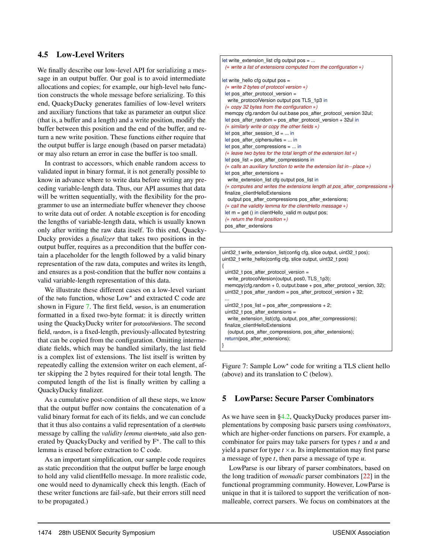## <span id="page-10-1"></span>4.5 Low-Level Writers

We finally describe our low-level API for serializing a message in an output buffer. Our goal is to avoid intermediate allocations and copies; for example, our high-level hello function constructs the whole message before serializing. To this end, QuackyDucky generates families of low-level writers and auxiliary functions that take as parameter an output slice (that is, a buffer and a length) and a write position, modify the buffer between this position and the end of the buffer, and return a new write position. These functions either require that the output buffer is large enough (based on parser metadata) or may also return an error in case the buffer is too small.

In contrast to accessors, which enable random access to validated input in binary format, it is not generally possible to know in advance where to write data before writing any preceding variable-length data. Thus, our API assumes that data will be written sequentially, with the flexibility for the programmer to use an intermediate buffer whenever they choose to write data out of order. A notable exception is for encoding the lengths of variable-length data, which is usually known only after writing the raw data itself. To this end, Quacky-Ducky provides a *finalizer* that takes two positions in the output buffer, requires as a precondition that the buffer contain a placeholder for the length followed by a valid binary representation of the raw data, computes and writes its length, and ensures as a post-condition that the buffer now contains a valid variable-length representation of this data.

We illustrate these different cases on a low-level variant of the hello function, whose  $Low<sup>*</sup>$  and extracted C code are shown in Figure [7.](#page-10-2) The first field, version, is an enumeration formatted in a fixed two-byte format: it is directly written using the QuackyDucky writer for protocolVersions. The second field, random, is a fixed-length, previously-allocated bytestring that can be copied from the configuration. Omitting intermediate fields, which may be handled similarly, the last field is a complex list of extensions. The list itself is written by repeatedly calling the extension writer on each element, after skipping the 2 bytes required for their total length. The computed length of the list is finally written by calling a QuackyDucky finalizer.

As a cumulative post-condition of all these steps, we know that the output buffer now contains the concatenation of a valid binary format for each of its fields, and we can conclude that it thus also contains a valid representation of a clientHello message by calling the *validity lemma* clientHello\_valid also generated by QuackyDucky and verified by  $F^*$ . The call to this lemma is erased before extraction to C code.

As an important simplification, our sample code requires as static precondition that the output buffer be large enough to hold any valid clientHello message. In more realistic code, one would need to dynamically check this length. (Each of these writer functions are fail-safe, but their errors still need to be propagated.)



uint32\_t write\_extension\_list(config cfg, slice output, uint32\_t pos); uint32\_t write\_hello(config cfg, slice output, uint32\_t pos) { uint32\_t pos\_after\_protocol\_version = write\_protocolVersion(output, pos0, TLS\_1p3); memcpy(cfg.random + 0, output.base + pos\_after\_protocol\_version, 32); uint32 t pos\_after\_random = pos\_after\_protocol\_version + 32; ... uint32 t pos list = pos after compressions + 2; uint32\_t pos\_after\_extensions = write\_extension\_list(cfg, output, pos\_after\_compressions); finalize\_clientHelloExtensions (output, pos\_after\_compressions, pos\_after\_extensions); return(pos\_after\_extensions);

<span id="page-10-2"></span>Figure 7: Sample Low\* code for writing a TLS client hello (above) and its translation to C (below).

# <span id="page-10-0"></span>5 LowParse: Secure Parser Combinators

}

As we have seen in [§4.2,](#page-7-2) QuackyDucky produces parser implementations by composing basic parsers using *combinators*, which are higher-order functions on parsers. For example, a combinator for pairs may take parsers for types *t* and *u* and yield a parser for type  $t \times u$ . Its implementation may first parse a message of type *t*, then parse a message of type *u*.

LowParse is our library of parser combinators, based on the long tradition of *monadic* parser combinators [\[22\]](#page-18-3) in the functional programming community. However, LowParse is unique in that it is tailored to support the verification of nonmalleable, correct parsers. We focus on combinators at the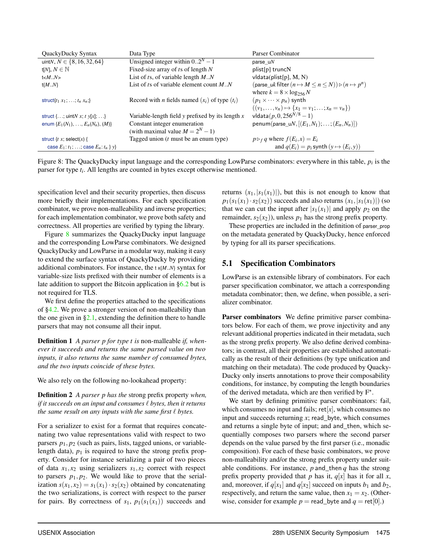| QuackyDucky Syntax                            | Data Type                                                 | Parser Combinator                                                                   |
|-----------------------------------------------|-----------------------------------------------------------|-------------------------------------------------------------------------------------|
| uintN, $N \in \{8, 16, 32, 64\}$              | Unsigned integer within $0 \cdot 2^N - 1$                 | parse $uN$                                                                          |
| t[N], $N \in \mathbb{N}$                      | Fixed-size array of $t s$ of length $N$                   | plist[p] truncN                                                                     |
| $t < M_N$                                     | List of ts, of variable length $M.N$                      | $v$ Idata(plist[p], M, N)                                                           |
| $t{MN}$                                       | List of ts of variable element count $M.N$                | (parse uk filter $(n \mapsto M \leq n \leq N)$ ) $\triangleright$ $(n \mapsto p^n)$ |
|                                               |                                                           | where $k = 8 \times \log_{256} N$                                                   |
| struct $\{t_1 x_1, \ldots, t_n x_n\}$         | Record with <i>n</i> fields named $(x_i)$ of type $(t_i)$ | $(p_1 \times \cdots \times p_n)$ synth                                              |
|                                               |                                                           | $((v_1, \ldots, v_n) \mapsto \{x_1 = v_1; \ldots; x_n = v_n\})$                     |
| struct {; uint $N x$ ; t $y[x]$ ; }           | Variable-length field y prefixed by its length $x$        | vldata $(p, 0, 256^{N/8} - 1)$                                                      |
| enum $\{E_1(N_1), \ldots, E_n(N_n), (M)\}\$   | Constant integer enumeration                              | penum(parse_uN, $[(E_1,N_1);\ldots;(E_n,N_n)]$ )                                    |
|                                               | (with maximal value $M = 2^N - 1$ )                       |                                                                                     |
| struct { $t x$ ; select(x) {                  | Tagged union $(t$ must be an enum type)                   | $p \triangleright_f q$ where $f(E_i, x) = E_i$                                      |
| case $E_1: t_1: $ ; case $E_n: t_n \,   \, y$ |                                                           | and $q(E_i) = p_i$ synth $(y \mapsto (E_i, y))$                                     |

<span id="page-11-0"></span>Figure 8: The QuackyDucky input language and the corresponding LowParse combinators: everywhere in this table, *p<sup>i</sup>* is the parser for type *t<sup>i</sup>* . All lengths are counted in bytes except otherwise mentioned.

specification level and their security properties, then discuss more briefly their implementations. For each specification combinator, we prove non-malleability and inverse properties; for each implementation combinator, we prove both safety and correctness. All properties are verified by typing the library.

Figure [8](#page-11-0) summarizes the QuackyDucky input language and the corresponding LowParse combinators. We designed QuackyDucky and LowParse in a modular way, making it easy to extend the surface syntax of QuackyDucky by providing additional combinators. For instance, the t x{*M*..*N*} syntax for variable-size lists prefixed with their number of elements is a late addition to support the Bitcoin application in [§6.2](#page-13-1) but is not required for TLS.

We first define the properties attached to the specifications of [§4.2.](#page-7-2) We prove a stronger version of non-malleability than the one given in  $\S2.1$ , extending the definition there to handle parsers that may not consume all their input.

Definition 1 *A parser p for type t is* non-malleable *if, whenever it succeeds and returns the same parsed value on two inputs, it also returns the same number of consumed bytes, and the two inputs coincide of these bytes.*

We also rely on the following no-lookahead property:

Definition 2 *A parser p has the* strong prefix property *when, if it succeeds on an input and consumes*  $\ell$  *bytes, then it returns the same result on any inputs with the same first*  $\ell$  *bytes.* 

For a serializer to exist for a format that requires concatenating two value representations valid with respect to two parsers  $p_1$ ,  $p_2$  (such as pairs, lists, tagged unions, or variablelength data),  $p_1$  is required to have the strong prefix property. Consider for instance serializing a pair of two pieces of data  $x_1, x_2$  using serializers  $s_1, s_2$  correct with respect to parsers  $p_1$ ,  $p_2$ . We would like to prove that the serialization  $s(x_1, x_2) = s_1(x_1) \cdot s_2(x_2)$  obtained by concatenating the two serializations, is correct with respect to the parser for pairs. By correctness of  $s_1$ ,  $p_1(s_1(x_1))$  succeeds and

returns  $(x_1, |s_1(x_1)|)$ , but this is not enough to know that  $p_1(s_1(x_1)\cdot s_2(x_2))$  succeeds and also returns  $(x_1,|s_1(x_1)|)$  (so that we can cut the input after  $|s_1(x_1)|$  and apply  $p_2$  on the remainder,  $s_2(x_2)$ ), unless  $p_1$  has the strong prefix property.

These properties are included in the definition of parser\_prop on the metadata generated by QuackyDucky, hence enforced by typing for all its parser specifications.

#### 5.1 Specification Combinators

LowParse is an extensible library of combinators. For each parser specification combinator, we attach a corresponding metadata combinator; then, we define, when possible, a serializer combinator.

Parser combinators We define primitive parser combinators below. For each of them, we prove injectivity and any relevant additional properties indicated in their metadata, such as the strong prefix property. We also define derived combinators; in contrast, all their properties are established automatically as the result of their definitions (by type unification and matching on their metadata). The code produced by Quacky-Ducky only inserts annotations to prove their composability conditions, for instance, by computing the length boundaries of the derived metadata, which are then verified by  $F^*$ .

We start by defining primitive parser combinators: fail, which consumes no input and fails;  $ret[x]$ , which consumes no input and succeeds returning *x*; read\_byte, which consumes and returns a single byte of input; and and\_then, which sequentially composes two parsers where the second parser depends on the value parsed by the first parser (i.e., monadic composition). For each of these basic combinators, we prove non-malleability and/or the strong prefix property under suitable conditions. For instance,  $p$  and then  $q$  has the strong prefix property provided that *p* has it,  $q[x]$  has it for all *x*, and, moreover, if  $q[x_1]$  and  $q[x_2]$  succeed on inputs  $b_1$  and  $b_2$ , respectively, and return the same value, then  $x_1 = x_2$ . (Otherwise, consider for example  $p = \text{read\_byte}$  and  $q = \text{ret}[0]$ .)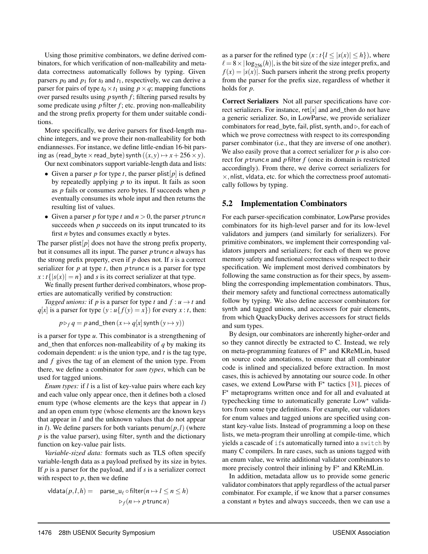Using those primitive combinators, we define derived combinators, for which verification of non-malleability and metadata correctness automatically follows by typing. Given parsers  $p_0$  and  $p_1$  for  $t_0$  and  $t_1$ , respectively, we can derive a parser for pairs of type  $t_0 \times t_1$  using  $p \times q$ ; mapping functions over parsed results using *p* synth *f* ; filtering parsed results by some predicate using *p* filter *f* ; etc. proving non-malleability and the strong prefix property for them under suitable conditions.

More specifically, we derive parsers for fixed-length machine integers, and we prove their non-malleability for both endiannesses. For instance, we define little-endian 16-bit parsing as (read\_byte  $\times$  read\_byte) synth  $((x, y) \mapsto x + 256 \times y)$ .

Our next combinators support variable-length data and lists:

- Given a parser *p* for type *t*, the parser plist  $[p]$  is defined by repeatedly applying *p* to its input. It fails as soon as *p* fails or consumes zero bytes. If succeeds when *p* eventually consumes its whole input and then returns the resulting list of values.
- Given a parser *p* for type *t* and  $n > 0$ , the parser *p* trunc *n* succeeds when *p* succeeds on its input truncated to its first *n* bytes and consumes exactly *n* bytes.

The parser plist  $[p]$  does not have the strong prefix property, but it consumes all its input. The parser *p* trunc *n* always has the strong prefix property, even if *p* does not. If *s* is a correct serializer for *p* at type *t*, then *p* trunc *n* is a parser for type  $x : t\{|s(x)| = n\}$  and *s* is its correct serializer at that type.

We finally present further derived combinators, whose properties are automatically verified by construction:

*Tagged unions:* if *p* is a parser for type *t* and  $f: u \rightarrow t$  and  $q[x]$  is a parser for type  $(y: u\{f(y) = x\})$  for every  $x : t$ , then:

$$
p \triangleright_f q = p \text{ and } \text{then } (x \mapsto q[x] \text{ synth } (y \mapsto y))
$$

is a parser for type *u*. This combinator is a strengthening of and\_then that enforces non-malleability of *q* by making its codomain dependent: *u* is the union type, and *t* is the tag type, and *f* gives the tag of an element of the union type. From there, we define a combinator for *sum types*, which can be used for tagged unions.

*Enum types:* if *l* is a list of key-value pairs where each key and each value only appear once, then it defines both a closed enum type (whose elements are the keys that appear in *l*) and an open enum type (whose elements are the known keys that appear in *l* and the unknown values that do not appear in *l*). We define parsers for both variants penum $(p, l)$  (where *p* is the value parser), using filter, synth and the dictionary function on key-value pair lists.

*Variable-sized data:* formats such as TLS often specify variable-length data as a payload prefixed by its size in bytes. If *p* is a parser for the payload, and if *s* is a serializer correct with respect to  $p$ , then we define

$$
\text{vldata}(p, l, h) = \text{parse\_u}_{\ell} \circ \text{filter}(n \mapsto l \le n \le h)
$$

$$
\triangleright_f (n \mapsto p \text{ trunc } n)
$$

as a parser for the refined type  $(x : t\{l \leq |s(x)| \leq h\})$ , where  $\ell = 8 \times \log_{256}(h)$ , is the bit size of the size integer prefix, and  $f(x) = |s(x)|$ . Such parsers inherit the strong prefix property from the parser for the prefix size, regardless of whether it holds for *p*.

Correct Serializers Not all parser specifications have correct serializers. For instance,  $ret[x]$  and and then do not have a generic serializer. So, in LowParse, we provide serializer combinators for read\_byte, fail, plist, synth, and  $\triangleright$ , for each of which we prove correctness with respect to its corresponding parser combinator (i.e., that they are inverse of one another). We also easily prove that a correct serializer for *p* is also correct for *p* trunc *n* and *p* filter *f* (once its domain is restricted accordingly). From there, we derive correct serializers for  $\times$ , nlist, vldata, etc. for which the correctness proof automatically follows by typing.

#### 5.2 Implementation Combinators

For each parser-specification combinator, LowParse provides combinators for its high-level parser and for its low-level validators and jumpers (and similarly for serializers). For primitive combinators, we implement their corresponding validators jumpers and serializers; for each of them we prove memory safety and functional correctness with respect to their specification. We implement most derived combinators by following the same construction as for their specs, by assembling the corresponding implementation combinators. Thus, their memory safety and functional correctness automatically follow by typing. We also define accessor combinators for synth and tagged unions, and accessors for pair elements, from which QuackyDucky derives accessors for struct fields and sum types.

By design, our combinators are inherently higher-order and so they cannot directly be extracted to C. Instead, we rely on meta-programming features of F<sup>\*</sup> and KReMLin, based on source code annotations, to ensure that all combinator code is inlined and specialized before extraction. In most cases, this is achieved by annotating our source code. In other cases, we extend LowParse with  $F^*$  tactics [\[31\]](#page-18-18), pieces of F<sup>\*</sup> metaprograms written once and for all and evaluated at typechecking time to automatically generate  $Low<sup>*</sup>$  validators from some type definitions. For example, our validators for enum values and tagged unions are specified using constant key-value lists. Instead of programming a loop on these lists, we meta-program their unrolling at compile-time, which yields a cascade of ifs automatically turned into a switch by many C compilers. In rare cases, such as unions tagged with an enum value, we write additional validator combinators to more precisely control their inlining by  $F^*$  and KReMLin.

In addition, metadata allow us to provide some generic validator combinators that apply regardless of the actual parser combinator. For example, if we know that a parser consumes a constant *n* bytes and always succeeds, then we can use a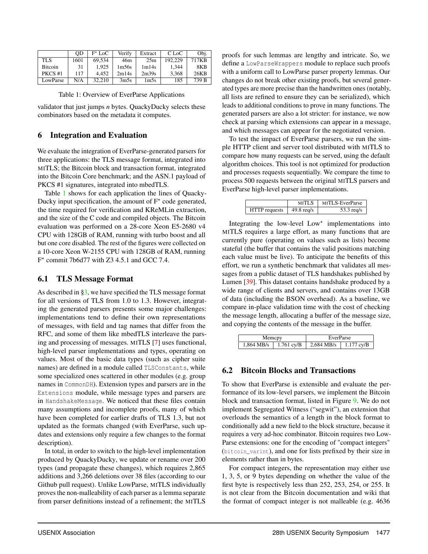|                | 0D   | $F^{\star}$ LoC | Verify | Extract          | C LoC   | Obi.  |
|----------------|------|-----------------|--------|------------------|---------|-------|
| TLS            | 1601 | 69.534          | 46m    | 25m              | 192.229 | 717KB |
| <b>Bitcoin</b> | 31   | 1.925           | 1m56s  | 1m14s            | 1.344   | 8KB   |
| PKCS#1         | 117  | 4.452           | 2m14s  | 2m39s            | 3.368   | 26KB  |
| LowParse       | N/A  | 32.210          | 3m5s   | 1 <sub>m5s</sub> | 185     | 739 B |

<span id="page-13-2"></span>

validator that just jumps *n* bytes. QuackyDucky selects these combinators based on the metadata it computes.

#### <span id="page-13-0"></span>6 Integration and Evaluation

We evaluate the integration of EverParse-generated parsers for three applications: the TLS message format, integrated into MITLS; the Bitcoin block and transaction format, integrated into the Bitcoin Core benchmark; and the ASN.1 payload of PKCS #1 signatures, integrated into mbedTLS.

Table [1](#page-13-2) shows for each application the lines of Quacky-Ducky input specification, the amount of  $F^*$  code generated, the time required for verification and KReMLin extraction, and the size of the C code and compiled objects. The Bitcoin evaluation was performed on a 28-core Xeon E5-2680 v4 CPU with 128GB of RAM, running with turbo boost and all but one core disabled. The rest of the figures were collected on a 10-core Xeon W-2155 CPU with 128GB of RAM, running  $F^*$  commit 7b6d77 with Z3 4.5.1 and GCC 7.4.

#### 6.1 TLS Message Format

As described in [§3,](#page-4-0) we have specified the TLS message format for all versions of TLS from 1.0 to 1.3. However, integrating the generated parsers presents some major challenges: implementations tend to define their own representations of messages, with field and tag names that differ from the RFC, and some of them like mbedTLS interleave the parsing and processing of messages. MITLS [\[7\]](#page-17-1) uses functional, high-level parser implementations and types, operating on values. Most of the basic data types (such as cipher suite names) are defined in a module called TLSConstants, while some specialized ones scattered in other modules (e.g. group names in CommonDH). Extension types and parsers are in the Extensions module, while message types and parsers are in HandshakeMessage. We noticed that these files contain many assumptions and incomplete proofs, many of which have been completed for earlier drafts of TLS 1.3, but not updated as the formats changed (with EverParse, such updates and extensions only require a few changes to the format description).

In total, in order to switch to the high-level implementation produced by QuackyDucky, we update or rename over 200 types (and propagate these changes), which requires 2,865 additions and 3,266 deletions over 38 files (according to our Github pull request). Unlike LowParse, MITLS individually proves the non-malleability of each parser as a lemma separate from parser definitions instead of a refinement; the MITLS

proofs for such lemmas are lengthy and intricate. So, we define a LowParseWrappers module to replace such proofs with a uniform call to LowParse parser property lemmas. Our changes do not break other existing proofs, but several generated types are more precise than the handwritten ones (notably, all lists are refined to ensure they can be serialized), which leads to additional conditions to prove in many functions. The generated parsers are also a lot stricter: for instance, we now check at parsing which extensions can appear in a message, and which messages can appear for the negotiated version.

To test the impact of EverParse parsers, we run the simple HTTP client and server tool distributed with MITLS to compare how many requests can be served, using the default algorithm choices. This tool is not optimized for production and processes requests sequentially. We compare the time to process 500 requests between the original MITLS parsers and EverParse high-level parser implementations.

|               | MITLS                          | MITLS-EverParse |
|---------------|--------------------------------|-----------------|
| HTTP requests | $\frac{49.8 \text{ reg/s}}{2}$ | $53.3$ req/s    |

Integrating the low-level  $Low^*$  implementations into MITLS requires a large effort, as many functions that are currently pure (operating on values such as lists) become stateful (the buffer that contains the valid positions matching each value must be live). To anticipate the benefits of this effort, we run a synthetic benchmark that validates all messages from a public dataset of TLS handshakes published by Lumen [\[39\]](#page-18-19). This dataset contains handshake produced by a wide range of clients and servers, and contains over 13GB of data (including the BSON overhead). As a baseline, we compare in-place validation time with the cost of checking the message length, allocating a buffer of the message size, and copying the contents of the message in the buffer.

| Memcov     |                  | EverParse  |              |  |
|------------|------------------|------------|--------------|--|
| 1.864 MB/s | $\pm 1.761$ cy/B | 2.684 MB/s | $1.177$ cy/B |  |

#### <span id="page-13-1"></span>6.2 Bitcoin Blocks and Transactions

To show that EverParse is extensible and evaluate the performance of its low-level parsers, we implement the Bitcoin block and transaction format, listed in Figure [9.](#page-14-0) We do not implement Segregated Witness ("segwit"), an extension that overloads the semantics of a length in the block format to conditionally add a new field to the block structure, because it requires a very ad-hoc combinator. Bitcoin requires two Low-Parse extensions: one for the encoding of "compact integers" (bitcoin\_varint), and one for lists prefixed by their size in elements rather than in bytes.

For compact integers, the representation may either use 1, 3, 5, or 9 bytes depending on whether the value of the first byte is respectively less than 252, 253, 254, or 255. It is not clear from the Bitcoin documentation and wiki that the format of compact integer is not malleable (e.g. 4636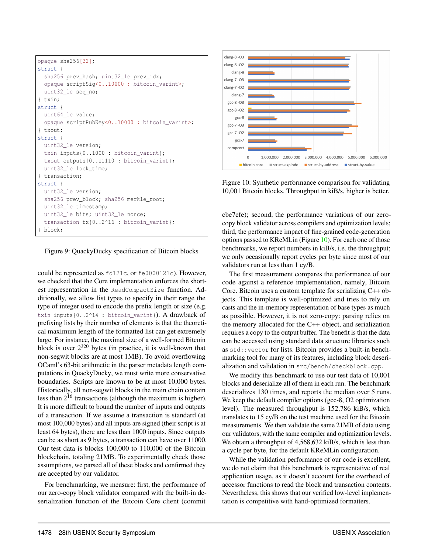```
opaque sha256[32];
struct {
  sha256 prev_hash; uint32_le prev_idx;
  opaque scriptSig<0..10000 : bitcoin_varint>;
  uint32_le seq_no;
} txin;
struct {
 uint64_le value;
  opaque scriptPubKey<0..10000 : bitcoin_varint>;
} txout;
struct {
  uint32_le version;
  txin inputs{0..1000 : bitcoin_varint};
  txout outputs{0..11110 : bitcoin_varint};
  uint32_le lock_time;
} transaction;
struct {
 uint32_le version;
  sha256 prev_block; sha256 merkle_root;
  uint32_le timestamp;
  uint32 le bits; uint32 le nonce;
  transaction tx{0..2^16 : bitcoin_varint};
 block;
```
#### <span id="page-14-0"></span>Figure 9: QuackyDucky specification of Bitcoin blocks

could be represented as fd121c, or fe0000121c). However, we checked that the Core implementation enforces the shortest representation in the ReadCompactSize function. Additionally, we allow list types to specify in their range the type of integer used to encode the prefix length or size (e.g. txin inputs{0..2^14 : bitcoin\_varint}). A drawback of prefixing lists by their number of elements is that the theoretical maximum length of the formatted list can get extremely large. For instance, the maximal size of a well-formed Bitcoin block is over  $2^{320}$  bytes (in practice, it is well-known that non-segwit blocks are at most 1MB). To avoid overflowing OCaml's 63-bit arithmetic in the parser metadata length computations in QuackyDucky, we must write more conservative boundaries. Scripts are known to be at most 10,000 bytes. Historically, all non-segwit blocks in the main chain contain less than  $2^{16}$  transactions (although the maximum is higher). It is more difficult to bound the number of inputs and outputs of a transaction. If we assume a transaction is standard (at most 100,000 bytes) and all inputs are signed (their script is at least 64 bytes), there are less than 1000 inputs. Since outputs can be as short as 9 bytes, a transaction can have over 11000. Our test data is blocks 100,000 to 110,000 of the Bitcoin blockchain, totaling 21MB. To experimentally check those assumptions, we parsed all of these blocks and confirmed they are accepted by our validator.

For benchmarking, we measure: first, the performance of our zero-copy block validator compared with the built-in deserialization function of the Bitcoin Core client (commit



<span id="page-14-1"></span>Figure 10: Synthetic performance comparison for validating 10,001 Bitcoin blocks. Throughput in kiB/s, higher is better.

cbe7efe); second, the performance variations of our zerocopy block validator across compilers and optimization levels; third, the performance impact of fine-grained code-generation options passed to KReMLin (Figure [10\)](#page-14-1). For each one of those benchmarks, we report numbers in kiB/s, i.e. the throughput; we only occasionally report cycles per byte since most of our validators run at less than 1 cy/B.

The first measurement compares the performance of our code against a reference implementation, namely, Bitcoin Core. Bitcoin uses a custom template for serializing C++ objects. This template is well-optimized and tries to rely on casts and the in-memory representation of base types as much as possible. However, it is not zero-copy: parsing relies on the memory allocated for the C++ object, and serialization requires a copy to the output buffer. The benefit is that the data can be accessed using standard data structure libraries such as std::vector for lists. Bitcoin provides a built-in benchmarking tool for many of its features, including block deserialization and validation in src/bench/checkblock.cpp.

We modify this benchmark to use our test data of 10,001 blocks and deserialize all of them in each run. The benchmark deserializes 130 times, and reports the median over 5 runs. We keep the default compiler options (gcc-8, O2 optimization level). The measured throughput is 152,786 kiB/s, which translates to 15 cy/B on the test machine used for the Bitcoin measurements. We then validate the same 21MB of data using our validators, with the same compiler and optimization levels. We obtain a throughput of 4,568,632 kiB/s, which is less than a cycle per byte, for the default KReMLin configuration.

While the validation performance of our code is excellent, we do not claim that this benchmark is representative of real application usage, as it doesn't account for the overhead of accessor functions to read the block and transaction contents. Nevertheless, this shows that our verified low-level implementation is competitive with hand-optimized formatters.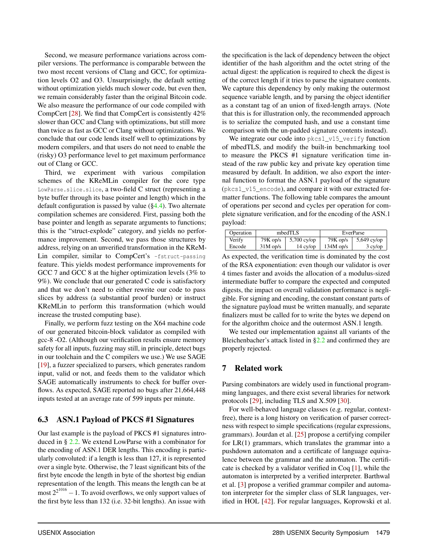Second, we measure performance variations across compiler versions. The performance is comparable between the two most recent versions of Clang and GCC, for optimization levels O2 and O3. Unsurprisingly, the default setting without optimization yields much slower code, but even then, we remain considerably faster than the original Bitcoin code. We also measure the performance of our code compiled with CompCert [\[28\]](#page-18-2). We find that CompCert is consistently 42% slower than GCC and Clang with optimizations, but still more than twice as fast as GCC or Clang without optimizations. We conclude that our code lends itself well to optimizations by modern compilers, and that users do not need to enable the (risky) O3 performance level to get maximum performance out of Clang or GCC.

Third, we experiment with various compilation schemes of the KReMLin compiler for the core type LowParse.slice.slice, a two-field C struct (representing a byte buffer through its base pointer and length) which in the default configuration is passed by value  $(\S4.4)$ . Two alternate compilation schemes are considered. First, passing both the base pointer and length as separate arguments to functions; this is the "struct-explode" category, and yields no performance improvement. Second, we pass those structures by address, relying on an unverified transformation in the KReM-Lin compiler, similar to CompCert's -fstruct-passing feature. This yields modest performance improvements for GCC 7 and GCC 8 at the higher optimization levels (3% to 9%). We conclude that our generated C code is satisfactory and that we don't need to either rewrite our code to pass slices by address (a substantial proof burden) or instruct KReMLin to perform this transformation (which would increase the trusted computing base).

Finally, we perform fuzz testing on the X64 machine code of our generated bitcoin-block validator as compiled with gcc-8 -O2. (Although our verification results ensure memory safety for all inputs, fuzzing may still, in principle, detect bugs in our toolchain and the C compilers we use.) We use SAGE [\[19\]](#page-18-20), a fuzzer specialized to parsers, which generates random input, valid or not, and feeds them to the validator which SAGE automatically instruments to check for buffer overflows. As expected, SAGE reported no bugs after 21,664,448 inputs tested at an average rate of 599 inputs per minute.

# 6.3 ASN.1 Payload of PKCS #1 Signatures

Our last example is the payload of PKCS #1 signatures introduced in § [2.2.](#page-3-3) We extend LowParse with a combinator for the encoding of ASN.1 DER lengths. This encoding is particularly convoluted: if a length is less than 127, it is represented over a single byte. Otherwise, the 7 least significant bits of the first byte encode the length in byte of the shortest big endian representation of the length. This means the length can be at most  $2^{2^{1016}} - 1$ . To avoid overflows, we only support values of the first byte less than 132 (i.e. 32-bit lengths). An issue with

the specification is the lack of dependency between the object identifier of the hash algorithm and the octet string of the actual digest: the application is required to check the digest is of the correct length if it tries to parse the signature contents. We capture this dependency by only making the outermost sequence variable length, and by parsing the object identifier as a constant tag of an union of fixed-length arrays. (Note that this is for illustration only, the recommended approach is to serialize the computed hash, and use a constant time comparison with the un-padded signature contents instead).

We integrate our code into pkcs1\_v15\_verify function of mbedTLS, and modify the built-in benchmarking tool to measure the PKCS #1 signature verification time instead of the raw public key and private key operation time measured by default. In addition, we also export the internal function to format the ASN.1 payload of the signature (pkcs1\_v15\_encode), and compare it with our extracted formatter functions. The following table compares the amount of operations per second and cycles per operation for complete signature verification, and for the encoding of the ASN.1 payload:

| Operation | mbedTLS    |                     | EverParse   |               |  |
|-----------|------------|---------------------|-------------|---------------|--|
| Verify    | $79K$ op/s | $\vert$ 5,700 cy/op | $79K$ op/s  | $5,649$ cy/op |  |
| Encode    | $31M$ op/s | $14 \text{ cy}$     | $134M$ op/s | $3$ cy/op     |  |

As expected, the verification time is dominated by the cost of the RSA exponentiation: even though our validator is over 4 times faster and avoids the allocation of a modulus-sized intermediate buffer to compare the expected and computed digests, the impact on overall validation performance is negligible. For signing and encoding, the constant constant parts of the signature payload must be written manually, and separate finalizers must be called for to write the bytes we depend on for the algorithm choice and the outermost ASN.1 length.

We tested our implementation against all variants of the Bleichenbacher's attack listed in [§2.2](#page-3-3) and confirmed they are properly rejected.

# 7 Related work

Parsing combinators are widely used in functional programming languages, and there exist several libraries for network protocols [\[29\]](#page-18-21), including TLS and X.509 [\[30\]](#page-18-22).

For well-behaved language classes (e.g. regular, contextfree), there is a long history on verification of parser correctness with respect to simple specifications (regular expressions, grammars). Jourdan et al. [\[25\]](#page-18-23) propose a certifying compiler for  $LR(1)$  grammars, which translates the grammar into a pushdown automaton and a certificate of language equivalence between the grammar and the automaton. The certificate is checked by a validator verified in Coq [\[1\]](#page-17-8), while the automaton is interpreted by a verified interpreter. Barthwal et al. [\[3\]](#page-17-9) propose a verified grammar compiler and automaton interpreter for the simpler class of SLR languages, verified in HOL [\[42\]](#page-18-24). For regular languages, Koprowski et al.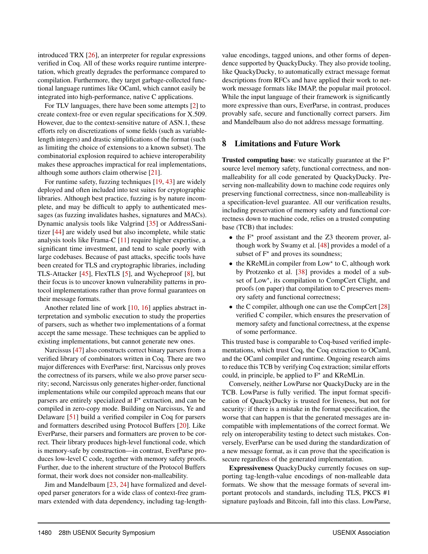introduced TRX [\[26\]](#page-18-25), an interpreter for regular expressions verified in Coq. All of these works require runtime interpretation, which greatly degrades the performance compared to compilation. Furthermore, they target garbage-collected functional language runtimes like OCaml, which cannot easily be integrated into high-performance, native C applications.

For TLV languages, there have been some attempts [\[2\]](#page-17-10) to create context-free or even regular specifications for X.509. However, due to the context-sensitive nature of ASN.1, these efforts rely on discretizations of some fields (such as variablelength integers) and drastic simplifications of the format (such as limiting the choice of extensions to a known subset). The combinatorial explosion required to achieve interoperability makes these approaches impractical for real implementations, although some authors claim otherwise [\[21\]](#page-18-26).

For runtime safety, fuzzing techniques [\[19,](#page-18-20) [43\]](#page-18-27) are widely deployed and often included into test suites for cryptographic libraries. Although best practice, fuzzing is by nature incomplete, and may be difficult to apply to authenticated messages (as fuzzing invalidates hashes, signatures and MACs). Dynamic analysis tools like Valgrind [\[35\]](#page-18-28) or AddressSanitizer [\[44\]](#page-18-29) are widely used but also incomplete, while static analysis tools like Frama-C [\[11\]](#page-17-11) require higher expertise, a significant time investment, and tend to scale poorly with large codebases. Because of past attacks, specific tools have been created for TLS and cryptographic libraries, including TLS-Attacker [\[45\]](#page-18-30), FlexTLS [\[5\]](#page-17-12), and Wycheproof [\[8\]](#page-17-13), but their focus is to uncover known vulnerability patterns in protocol implementations rather than prove formal guarantees on their message formats.

Another related line of work [\[10,](#page-17-14) [16\]](#page-18-31) applies abstract interpretation and symbolic execution to study the properties of parsers, such as whether two implementations of a format accept the same message. These techniques can be applied to existing implementations, but cannot generate new ones.

Narcissus [\[47\]](#page-18-32) also constructs correct binary parsers from a verified library of combinators written in Coq. There are two major differences with EverParse: first, Narcissus only proves the correctness of its parsers, while we also prove parser security; second, Narcissus only generates higher-order, functional implementations while our compiled approach means that our parsers are entirely specialized at  $F^*$  extraction, and can be compiled in zero-copy mode. Building on Narcissus, Ye and Delaware [\[51\]](#page-18-33) build a verified compiler in Coq for parsers and formatters described using Protocol Buffers [\[20\]](#page-18-15). Like EverParse, their parsers and formatters are proven to be correct. Their library produces high-level functional code, which is memory-safe by construction—in contrast, EverParse produces low-level C code, together with memory safety proofs. Further, due to the inherent structure of the Protocol Buffers format, their work does not consider non-malleability.

Jim and Mandelbaum [\[23,](#page-18-34) [24\]](#page-18-35) have formalized and developed parser generators for a wide class of context-free grammars extended with data dependency, including tag-lengthvalue encodings, tagged unions, and other forms of dependence supported by QuackyDucky. They also provide tooling, like QuackyDucky, to automatically extract message format descriptions from RFCs and have applied their work to network message formats like IMAP, the popular mail protocol. While the input language of their framework is significantly more expressive than ours, EverParse, in contrast, produces provably safe, secure and functionally correct parsers. Jim and Mandelbaum also do not address message formatting.

#### 8 Limitations and Future Work

**Trusted computing base:** we statically guarantee at the  $F^*$ source level memory safety, functional correctness, and nonmalleability for all code generated by QuackyDucky. Preserving non-malleability down to machine code requires only preserving functional correctness, since non-malleability is a specification-level guarantee. All our verification results, including preservation of memory safety and functional correctness down to machine code, relies on a trusted computing base (TCB) that includes:

- $\bullet$  the  $F^*$  proof assistant and the Z3 theorem prover, although work by Swamy et al. [\[48\]](#page-18-0) provides a model of a subset of  $F^*$  and proves its soundness;
- the KReMLin compiler from Low\* to C, although work by Protzenko et al. [\[38\]](#page-18-1) provides a model of a subset of Low\*, its compilation to CompCert Clight, and proofs (on paper) that compilation to C preserves memory safety and functional correctness;
- the C compiler, although one can use the CompCert [\[28\]](#page-18-2) verified C compiler, which ensures the preservation of memory safety and functional correctness, at the expense of some performance.

This trusted base is comparable to Coq-based verified implementations, which trust Coq, the Coq extraction to OCaml, and the OCaml compiler and runtime. Ongoing research aims to reduce this TCB by verifying Coq extraction; similar efforts could, in principle, be applied to  $F^*$  and KReMLin.

Conversely, neither LowParse nor QuackyDucky are in the TCB. LowParse is fully verified. The input format specification of QuackyDucky is trusted for liveness, but not for security: if there is a mistake in the format specification, the worse that can happen is that the generated messages are incompatible with implementations of the correct format. We rely on interoperability testing to detect such mistakes. Conversely, EverParse can be used during the standardization of a new message format, as it can prove that the specification is secure regardless of the generated implementation.

Expressiveness QuackyDucky currently focuses on supporting tag-length-value encodings of non-malleable data formats. We show that the message formats of several important protocols and standards, including TLS, PKCS #1 signature payloads and Bitcoin, fall into this class. LowParse,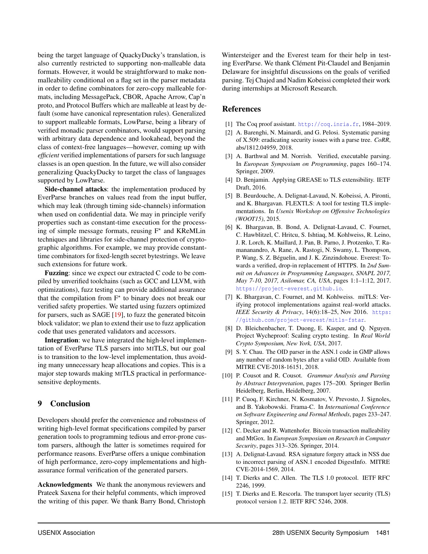being the target language of QuackyDucky's translation, is also currently restricted to supporting non-malleable data formats. However, it would be straightforward to make nonmalleability conditional on a flag set in the parser metadata in order to define combinators for zero-copy malleable formats, including MessagePack, CBOR, Apache Arrow, Cap'n proto, and Protocol Buffers which are malleable at least by default (some have canonical representation rules). Generalized to support malleable formats, LowParse, being a library of verified monadic parser combinators, would support parsing with arbitrary data dependence and lookahead, beyond the class of context-free languages—however, coming up with *efficient* verified implementations of parsers for such language classes is an open question. In the future, we will also consider generalizing QuackyDucky to target the class of languages supported by LowParse.

Side-channel attacks: the implementation produced by EverParse branches on values read from the input buffer, which may leak (through timing side-channels) information when used on confidential data. We may in principle verify properties such as constant-time execution for the processing of simple message formats, reusing  $F^*$  and KReMLin techniques and libraries for side-channel protection of cryptographic algorithms. For example, we may provide constanttime combinators for fixed-length secret bytestrings. We leave such extensions for future work.

Fuzzing: since we expect our extracted C code to be compiled by unverified toolchains (such as GCC and LLVM, with optimizations), fuzz testing can provide additional assurance that the compilation from  $F^*$  to binary does not break our verified safety properties. We started using fuzzers optimized for parsers, such as SAGE [\[19\]](#page-18-20), to fuzz the generated bitcoin block validator; we plan to extend their use to fuzz application code that uses generated validators and accessors.

Integration: we have integrated the high-level implementation of EverParse TLS parsers into MITLS, but our goal is to transition to the low-level implementation, thus avoiding many unnecessary heap allocations and copies. This is a major step towards making MITLS practical in performancesensitive deployments.

#### 9 Conclusion

Developers should prefer the convenience and robustness of writing high-level format specifications compiled by parser generation tools to programming tedious and error-prone custom parsers, although the latter is sometimes required for performance reasons. EverParse offers a unique combination of high performance, zero-copy implementations and highassurance formal verification of the generated parsers.

Acknowledgments We thank the anonymous reviewers and Prateek Saxena for their helpful comments, which improved the writing of this paper. We thank Barry Bond, Christoph

Wintersteiger and the Everest team for their help in testing EverParse. We thank Clément Pit-Claudel and Benjamin Delaware for insightful discussions on the goals of verified parsing. Tej Chajed and Nadim Kobeissi completed their work during internships at Microsoft Research.

### **References**

- <span id="page-17-8"></span>[1] The Coq proof assistant. <http://coq.inria.fr>, 1984–2019.
- <span id="page-17-10"></span>[2] A. Barenghi, N. Mainardi, and G. Pelosi. Systematic parsing of X.509: eradicating security issues with a parse tree. *CoRR*, abs/1812.04959, 2018.
- <span id="page-17-9"></span>[3] A. Barthwal and M. Norrish. Verified, executable parsing. In *European Symposium on Programming*, pages 160–174. Springer, 2009.
- <span id="page-17-7"></span>[4] D. Benjamin. Applying GREASE to TLS extensibility. IETF Draft, 2016.
- <span id="page-17-12"></span>[5] B. Beurdouche, A. Delignat-Lavaud, N. Kobeissi, A. Pironti, and K. Bhargavan. FLEXTLS: A tool for testing TLS implementations. In *Usenix Workshop on Offensive Technologies (WOOT15)*, 2015.
- <span id="page-17-0"></span>[6] K. Bhargavan, B. Bond, A. Delignat-Lavaud, C. Fournet, C. Hawblitzel, C. Hritcu, S. Ishtiaq, M. Kohlweiss, R. Leino, J. R. Lorch, K. Maillard, J. Pan, B. Parno, J. Protzenko, T. Ramananandro, A. Rane, A. Rastogi, N. Swamy, L. Thompson, P. Wang, S. Z. Béguelin, and J. K. Zinzindohoue. Everest: Towards a verified, drop-in replacement of HTTPS. In *2nd Summit on Advances in Programming Languages, SNAPL 2017, May 7-10, 2017, Asilomar, CA, USA*, pages 1:1–1:12, 2017. <https://project-everest.github.io>.
- <span id="page-17-1"></span>[7] K. Bhargavan, C. Fournet, and M. Kohlweiss. miTLS: Verifying protocol implementations against real-world attacks. *IEEE Security & Privacy*, 14(6):18-25, Nov 2016. [https:](https://github.com/project-everest/mitls-fstar) [//github.com/project-everest/mitls-fstar](https://github.com/project-everest/mitls-fstar).
- <span id="page-17-13"></span>[8] D. Bleichenbacher, T. Duong, E. Kasper, and O. Nguyen. Project Wycheproof: Scaling crypto testing. In *Real World Crypto Symposium, New York, USA*, 2017.
- <span id="page-17-2"></span>[9] S. Y. Chau. The OID parser in the ASN.1 code in GMP allows any number of random bytes after a valid OID. Available from MITRE CVE-2018-16151, 2018.
- <span id="page-17-14"></span>[10] P. Cousot and R. Cousot. *Grammar Analysis and Parsing by Abstract Interpretation*, pages 175–200. Springer Berlin Heidelberg, Berlin, Heidelberg, 2007.
- <span id="page-17-11"></span>[11] P. Cuoq, F. Kirchner, N. Kosmatov, V. Prevosto, J. Signoles, and B. Yakobowski. Frama-C. In *International Conference on Software Engineering and Formal Methods*, pages 233–247. Springer, 2012.
- <span id="page-17-4"></span>[12] C. Decker and R. Wattenhofer. Bitcoin transaction malleability and MtGox. In *European Symposium on Research in Computer Security*, pages 313–326. Springer, 2014.
- <span id="page-17-3"></span>[13] A. Delignat-Lavaud. RSA signature forgery attack in NSS due to incorrect parsing of ASN.1 encoded DigestInfo. MITRE CVE-2014-1569, 2014.
- <span id="page-17-5"></span>[14] T. Dierks and C. Allen. The TLS 1.0 protocol. IETF RFC 2246, 1999.
- <span id="page-17-6"></span>[15] T. Dierks and E. Rescorla. The transport layer security (TLS) protocol version 1.2. IETF RFC 5246, 2008.